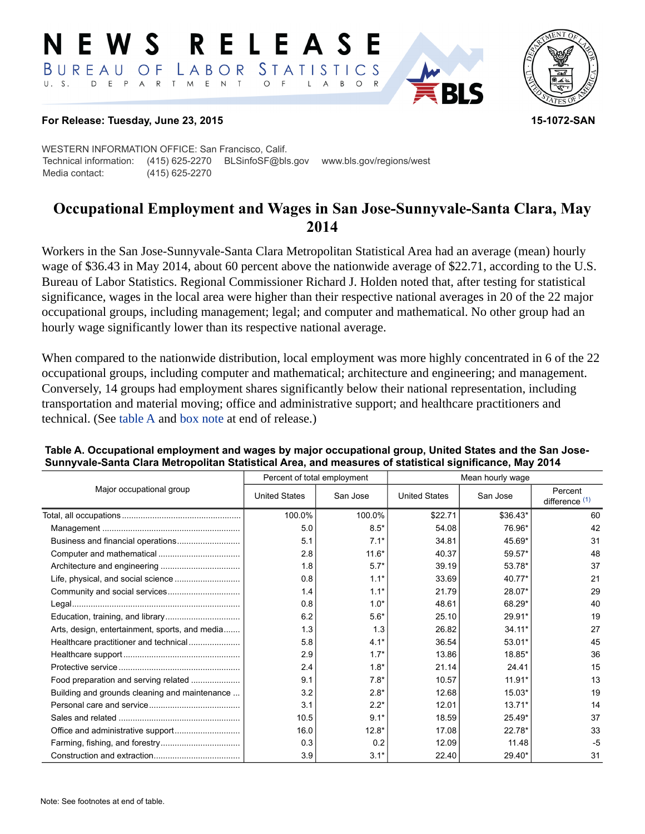#### RELEASE E W S LABOR STATISTICS BUREAU OF D E P A R T M E N T  $\circ$  $U. S.$  $\overline{F}$  $B$  $\circ$  $\mathsf{L}$  $\overline{A}$



### **For Release: Tuesday, June 23, 2015 15-1072-SAN**

WESTERN INFORMATION OFFICE: San Francisco, Calif. Technical information: (415) 625-2270 BLSinfoSF@bls.gov www.bls.gov/regions/west Media contact: (415) 625-2270

# **Occupational Employment and Wages in San Jose-Sunnyvale-Santa Clara, May 2014**

Workers in the San Jose-Sunnyvale-Santa Clara Metropolitan Statistical Area had an average (mean) hourly wage of \$36.43 in May 2014, about 60 percent above the nationwide average of \$22.71, according to the U.S. Bureau of Labor Statistics. Regional Commissioner Richard J. Holden noted that, after testing for statistical significance, wages in the local area were higher than their respective national averages in 20 of the 22 major occupational groups, including management; legal; and computer and mathematical. No other group had an hourly wage significantly lower than its respective national average.

When compared to the nationwide distribution, local employment was more highly concentrated in 6 of the 22 occupational groups, including computer and mathematical; architecture and engineering; and management. Conversely, 14 groups had employment shares significantly below their national representation, including transportation and material moving; office and administrative support; and healthcare practitioners and technical. (See table A and [box note](#page-1-0) at end of release.)

|                                                |                      | Percent of total employment | Mean hourly wage     |          |                             |  |
|------------------------------------------------|----------------------|-----------------------------|----------------------|----------|-----------------------------|--|
| Major occupational group                       | <b>United States</b> | San Jose                    | <b>United States</b> | San Jose | Percent<br>difference $(1)$ |  |
|                                                | 100.0%               | 100.0%                      | \$22.71              | \$36.43* | 60                          |  |
|                                                | 5.0                  | $8.5*$                      | 54.08                | 76.96*   | 42                          |  |
| Business and financial operations              | 5.1                  | $7.1*$                      | 34.81                | 45.69*   | 31                          |  |
|                                                | 2.8                  | $11.6*$                     | 40.37                | 59.57*   | 48                          |  |
|                                                | 1.8                  | $5.7*$                      | 39.19                | 53.78*   | 37                          |  |
|                                                | 0.8                  | $1.1*$                      | 33.69                | 40.77*   | 21                          |  |
|                                                | 1.4                  | $1.1*$                      | 21.79                | 28.07*   | 29                          |  |
|                                                | 0.8                  | $1.0*$                      | 48.61                | 68.29*   | 40                          |  |
|                                                | 6.2                  | $5.6*$                      | 25.10                | 29.91*   | 19                          |  |
| Arts, design, entertainment, sports, and media | 1.3                  | 1.3                         | 26.82                | $34.11*$ | 27                          |  |
| Healthcare practitioner and technical          | 5.8                  | $4.1*$                      | 36.54                | 53.01*   | 45                          |  |
|                                                | 2.9                  | $1.7*$                      | 13.86                | 18.85*   | 36                          |  |
|                                                | 2.4                  | $1.8*$                      | 21.14                | 24.41    | 15                          |  |
| Food preparation and serving related           | 9.1                  | $7.8*$                      | 10.57                | $11.91*$ | 13                          |  |
| Building and grounds cleaning and maintenance  | 3.2                  | $2.8*$                      | 12.68                | $15.03*$ | 19                          |  |
|                                                | 3.1                  | $2.2*$                      | 12.01                | $13.71*$ | 14                          |  |
|                                                | 10.5                 | $9.1*$                      | 18.59                | $25.49*$ | 37                          |  |
|                                                | 16.0                 | $12.8*$                     | 17.08                | 22.78*   | 33                          |  |
|                                                | 0.3                  | 0.2                         | 12.09                | 11.48    | $-5$                        |  |
|                                                | 3.9                  | $3.1*$                      | 22.40                | 29.40*   | 31                          |  |

### **Table A. Occupational employment and wages by major occupational group, United States and the San Jose-Sunnyvale-Santa Clara Metropolitan Statistical Area, and measures of statistical significance, May 2014**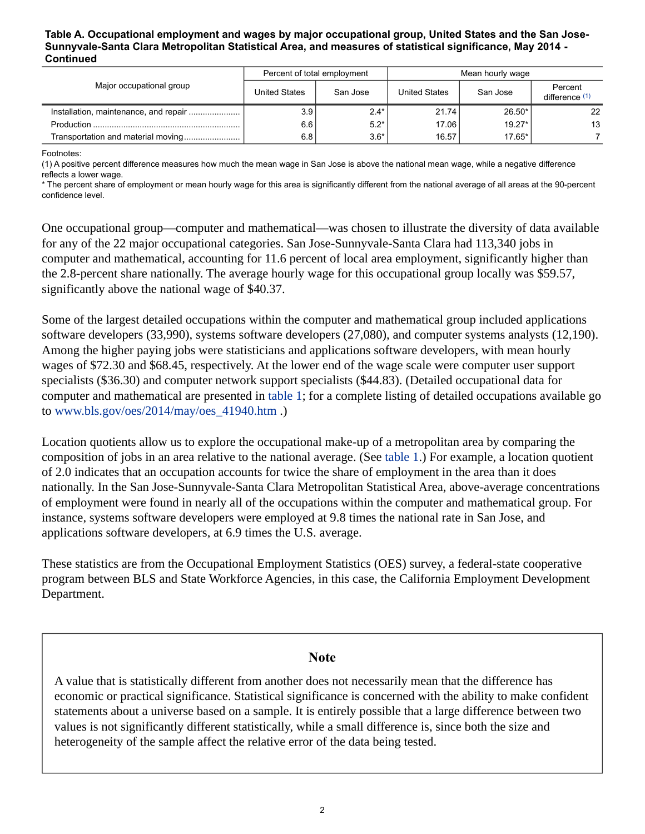#### **Table A. Occupational employment and wages by major occupational group, United States and the San Jose-Sunnyvale-Santa Clara Metropolitan Statistical Area, and measures of statistical significance, May 2014 - Continued**

| Major occupational group | Percent of total employment |          | Mean hourly wage |          |                           |  |
|--------------------------|-----------------------------|----------|------------------|----------|---------------------------|--|
|                          | <b>United States</b>        | San Jose | United States    | San Jose | Percent<br>difference (1) |  |
|                          | 3.9                         | $2.4*$   | 21.74            | 26.50*   | 22                        |  |
|                          | 6.6                         | $5.2*$   | 17.06            | $19.27*$ | 13                        |  |
|                          | 6.8                         | $3.6*$   | 16.57            | $17.65*$ |                           |  |

Footnotes:

<span id="page-1-1"></span>(1) A positive percent difference measures how much the mean wage in San Jose is above the national mean wage, while a negative difference reflects a lower wage.

\* The percent share of employment or mean hourly wage for this area is significantly different from the national average of all areas at the 90-percent confidence level.

One occupational group—computer and mathematical—was chosen to illustrate the diversity of data available for any of the 22 major occupational categories. San Jose-Sunnyvale-Santa Clara had 113,340 jobs in computer and mathematical, accounting for 11.6 percent of local area employment, significantly higher than the 2.8-percent share nationally. The average hourly wage for this occupational group locally was \$59.57, significantly above the national wage of \$40.37.

Some of the largest detailed occupations within the computer and mathematical group included applications software developers (33,990), systems software developers (27,080), and computer systems analysts (12,190). Among the higher paying jobs were statisticians and applications software developers, with mean hourly wages of \$72.30 and \$68.45, respectively. At the lower end of the wage scale were computer user support specialists (\$36.30) and computer network support specialists (\$44.83). (Detailed occupational data for computer and mathematical are presented in table 1; for a complete listing of detailed occupations available go to [www.bls.gov/oes/2014/may/oes\\_41940.htm](https://www.bls.gov/oes/2014/may/oes_41940.htm) .)

Location quotients allow us to explore the occupational make-up of a metropolitan area by comparing the composition of jobs in an area relative to the national average. (See table 1.) For example, a location quotient of 2.0 indicates that an occupation accounts for twice the share of employment in the area than it does nationally. In the San Jose-Sunnyvale-Santa Clara Metropolitan Statistical Area, above-average concentrations of employment were found in nearly all of the occupations within the computer and mathematical group. For instance, systems software developers were employed at 9.8 times the national rate in San Jose, and applications software developers, at 6.9 times the U.S. average.

These statistics are from the Occupational Employment Statistics (OES) survey, a federal-state cooperative program between BLS and State Workforce Agencies, in this case, the California Employment Development Department.

### **Note**

<span id="page-1-0"></span>A value that is statistically different from another does not necessarily mean that the difference has economic or practical significance. Statistical significance is concerned with the ability to make confident statements about a universe based on a sample. It is entirely possible that a large difference between two values is not significantly different statistically, while a small difference is, since both the size and heterogeneity of the sample affect the relative error of the data being tested.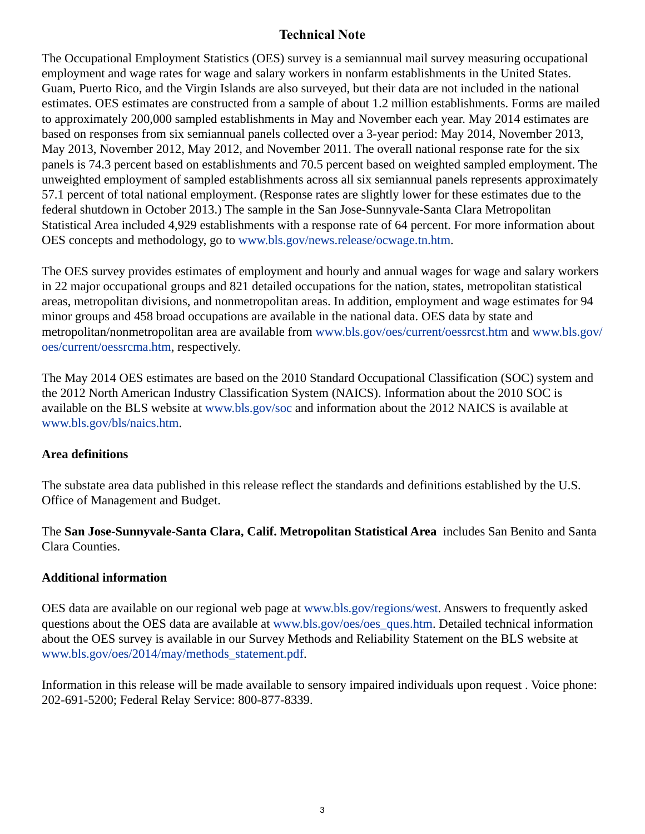## **Technical Note**

The Occupational Employment Statistics (OES) survey is a semiannual mail survey measuring occupational employment and wage rates for wage and salary workers in nonfarm establishments in the United States. Guam, Puerto Rico, and the Virgin Islands are also surveyed, but their data are not included in the national estimates. OES estimates are constructed from a sample of about 1.2 million establishments. Forms are mailed to approximately 200,000 sampled establishments in May and November each year. May 2014 estimates are based on responses from six semiannual panels collected over a 3-year period: May 2014, November 2013, May 2013, November 2012, May 2012, and November 2011. The overall national response rate for the six panels is 74.3 percent based on establishments and 70.5 percent based on weighted sampled employment. The unweighted employment of sampled establishments across all six semiannual panels represents approximately 57.1 percent of total national employment. (Response rates are slightly lower for these estimates due to the federal shutdown in October 2013.) The sample in the San Jose-Sunnyvale-Santa Clara Metropolitan Statistical Area included 4,929 establishments with a response rate of 64 percent. For more information about OES concepts and methodology, go to [www.bls.gov/news.release/ocwage.tn.htm.](https://www.bls.gov/news.release/ocwage.tn.htm)

The OES survey provides estimates of employment and hourly and annual wages for wage and salary workers in 22 major occupational groups and 821 detailed occupations for the nation, states, metropolitan statistical areas, metropolitan divisions, and nonmetropolitan areas. In addition, employment and wage estimates for 94 minor groups and 458 broad occupations are available in the national data. OES data by state and metropolitan/nonmetropolitan area are available from [www.bls.gov/oes/current/oessrcst.htm](https://www.bls.gov/oes/current/oessrcst.htm) and [www.bls.gov/](https://www.bls.gov/oes/current/oessrcma.htm) [oes/current/oessrcma.htm,](https://www.bls.gov/oes/current/oessrcma.htm) respectively.

The May 2014 OES estimates are based on the 2010 Standard Occupational Classification (SOC) system and the 2012 North American Industry Classification System (NAICS). Information about the 2010 SOC is available on the BLS website at [www.bls.gov/soc](https://www.bls.gov/soc) and information about the 2012 NAICS is available at [www.bls.gov/bls/naics.htm.](https://www.bls.gov/bls/naics.htm)

### **Area definitions**

The substate area data published in this release reflect the standards and definitions established by the U.S. Office of Management and Budget.

The **San Jose-Sunnyvale-Santa Clara, Calif. Metropolitan Statistical Area** includes San Benito and Santa Clara Counties.

### **Additional information**

OES data are available on our regional web page at [www.bls.gov/regions/west.](https://www.bls.gov/regions/west) Answers to frequently asked questions about the OES data are available at [www.bls.gov/oes/oes\\_ques.htm.](https://www.bls.gov/oes/oes_ques.htm) Detailed technical information about the OES survey is available in our Survey Methods and Reliability Statement on the BLS website at [www.bls.gov/oes/2014/may/methods\\_statement.pdf](https://www.bls.gov/oes/2014/may/methods_statement.pdf).

Information in this release will be made available to sensory impaired individuals upon request . Voice phone: 202-691-5200; Federal Relay Service: 800-877-8339.